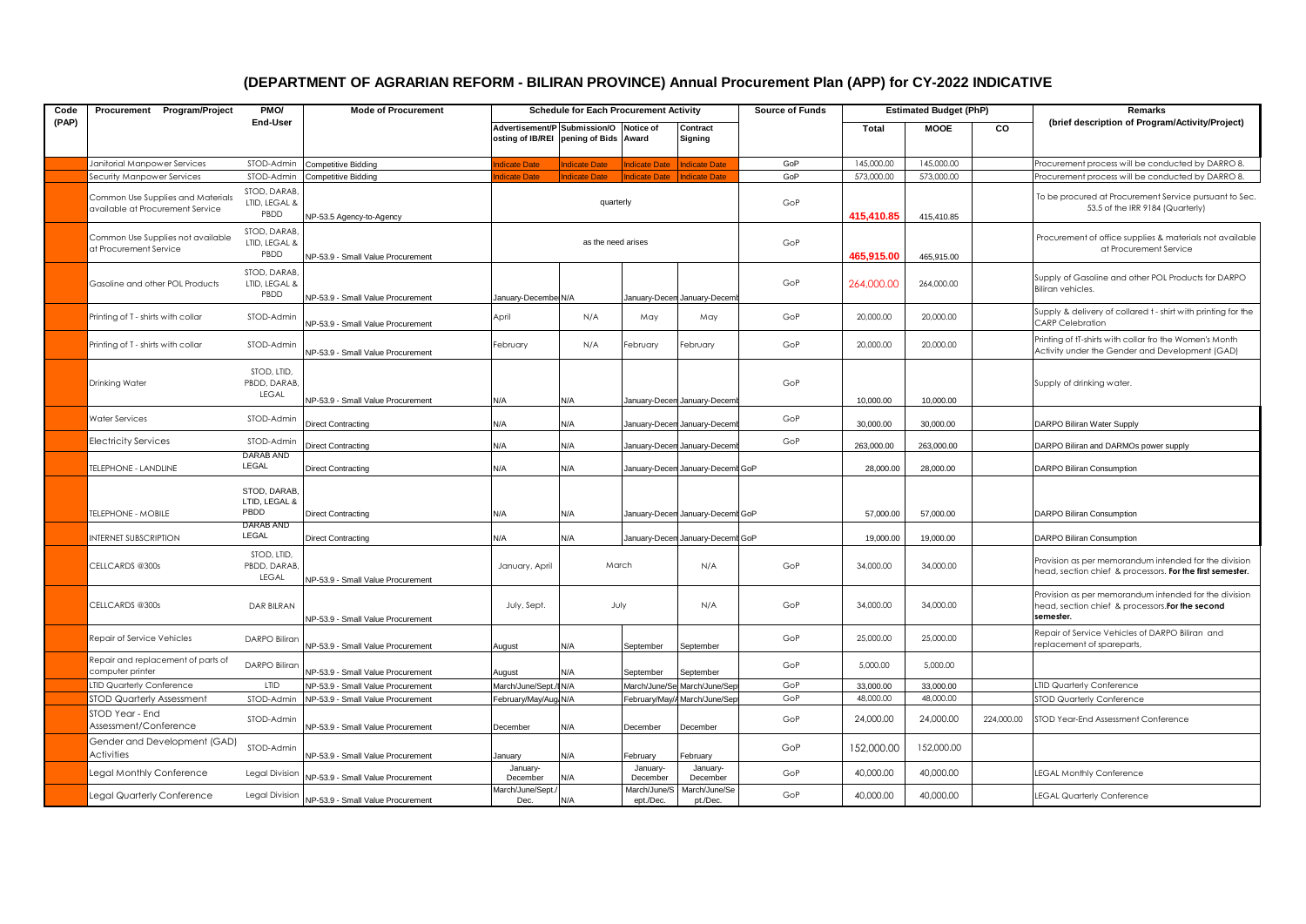## **(DEPARTMENT OF AGRARIAN REFORM - BILIRAN PROVINCE) Annual Procurement Plan (APP) for CY-2022 INDICATIVE**

| Code  | Procurement Program/Project                                           | PMO/<br>End-User                      | <b>Mode of Procurement</b>        | <b>Schedule for Each Procurement Activity</b>                                   |                      |                           |                                  | <b>Source of Funds</b> | <b>Estimated Budget (PhP)</b> |             |            | Remarks                                                                                                                |
|-------|-----------------------------------------------------------------------|---------------------------------------|-----------------------------------|---------------------------------------------------------------------------------|----------------------|---------------------------|----------------------------------|------------------------|-------------------------------|-------------|------------|------------------------------------------------------------------------------------------------------------------------|
| (PAP) |                                                                       |                                       |                                   | Advertisement/P Submission/O Notice of<br>osting of IB/REI pening of Bids Award |                      |                           | Contract<br>Signing              |                        | Total                         | <b>MOOE</b> | <b>CO</b>  | (brief description of Program/Activity/Project)                                                                        |
|       | Janitorial Manpower Services                                          | STOD-Admin                            | <b>Competitive Bidding</b>        | dicate Date                                                                     | <b>Indicate Date</b> | ndicate Date              | Indicate Date                    | GoP                    | 145,000,00                    | 145,000.00  |            | Procurement process will be conducted by DARRO 8.                                                                      |
|       | Security Manpower Services                                            | STOD-Admin                            | Competitive Bidding               | dicate Date                                                                     | <b>Indicate Date</b> | ndicate Date              | ndicate Date                     | GoP                    | 573,000.00                    | 573,000.00  |            | Procurement process will be conducted by DARRO 8.                                                                      |
|       | Common Use Supplies and Materials<br>available at Procurement Service | STOD, DARAB,<br>LTID, LEGAL &<br>PBDD | NP-53.5 Agency-to-Agency          |                                                                                 | quarterly            |                           |                                  | GoP                    | 415,410.85                    | 415,410.85  |            | To be procured at Procurement Service pursuant to Sec.<br>53.5 of the IRR 9184 (Quarterly)                             |
|       | Common Use Supplies not available<br>at Procurement Service           | STOD, DARAB,<br>LTID, LEGAL &<br>PBDD | NP-53.9 - Small Value Procurement | as the need arises                                                              |                      |                           |                                  | GoP                    | 465,915.00                    | 465,915.00  |            | Procurement of office supplies & materials not available<br>at Procurement Service                                     |
|       | Gasoline and other POL Products                                       | STOD, DARAB,<br>LTID, LEGAL &<br>PBDD | NP-53.9 - Small Value Procurement | January-Decembe N/A                                                             |                      |                           | January-Decen January-Decem      | GoP                    | 264,000.00                    | 264,000.00  |            | Supply of Gasoline and other POL Products for DARPO<br>Biliran vehicles.                                               |
|       | Printing of T - shirts with collar                                    | STOD-Admin                            | NP-53.9 - Small Value Procurement | April                                                                           | N/A                  | May                       | May                              | GoP                    | 20,000.00                     | 20,000,00   |            | Supply & delivery of collared t - shirt with printing for the<br><b>CARP Celebration</b>                               |
|       | Printing of T - shirts with collar                                    | STOD-Admin                            | NP-53.9 - Small Value Procurement | February                                                                        | N/A                  | ebruary                   | February                         | GoP                    | 20,000.00                     | 20,000.00   |            | Printing of tT-shirts with collar fro the Women's Month<br>Activity under the Gender and Development (GAD)             |
|       | <b>Drinking Water</b>                                                 | STOD, LTID,<br>PBDD, DARAB,<br>LEGAL  | NP-53.9 - Small Value Procurement | N/A                                                                             | N/A                  |                           | January-Decen January-Decem      | GoP                    | 10,000.00                     | 10,000.00   |            | Supply of drinking water.                                                                                              |
|       | <b>Water Services</b>                                                 | STOD-Admin                            | <b>Direct Contracting</b>         | N/A                                                                             | N/A                  |                           | January-Decen January-Decen      | GoP                    | 30,000.00                     | 30,000.00   |            | DARPO Biliran Water Supply                                                                                             |
|       | <b>Electricity Services</b>                                           | STOD-Admin                            | Direct Contracting                | N/A                                                                             | N/A                  |                           | January-Decen January-Decem      | GoP                    | 263,000.00                    | 263,000.00  |            | DARPO Biliran and DARMOs power supply                                                                                  |
|       | <b>TELEPHONE - LANDLINE</b>                                           | DARAB AND<br>LEGAL                    | <b>Direct Contracting</b>         | N/A                                                                             | N/A                  |                           | January-Decen January-Decemt GoP |                        | 28,000,00                     | 28,000.00   |            | DARPO Biliran Consumption                                                                                              |
|       | <b>TELEPHONE - MOBILE</b>                                             | STOD, DARAB,<br>LTID, LEGAL &<br>PBDD | <b>Direct Contracting</b>         | N/A                                                                             | N/A                  |                           | January-Decen January-Decemt GoP |                        | 57,000.00                     | 57,000.00   |            | DARPO Biliran Consumption                                                                                              |
|       | <b>INTERNET SUBSCRIPTION</b>                                          | DARAB AND<br>LEGAL                    | <b>Direct Contracting</b>         | N/A                                                                             | N/A                  |                           | January-Decen January-Decemt GoP |                        | 19,000.00                     | 19,000.00   |            | DARPO Biliran Consumption                                                                                              |
|       | CELLCARDS @300s                                                       | STOD, LTID,<br>PBDD, DARAB,<br>LEGAL  | NP-53.9 - Small Value Procurement | January, April                                                                  | March                |                           | N/A                              | GoP                    | 34,000.00                     | 34,000.00   |            | Provision as per memorandum intended for the division<br>head, section chief & processors. For the first semester.     |
|       | CELLCARDS @300s                                                       | <b>DAR BILRAN</b>                     | NP-53.9 - Small Value Procurement | July, Sept.                                                                     | July                 |                           | N/A                              | GoP                    | 34,000.00                     | 34,000.00   |            | Provision as per memorandum intended for the division<br>head, section chief & processors. For the second<br>semester. |
|       | Repair of Service Vehicles                                            | <b>DARPO Biliran</b>                  | NP-53.9 - Small Value Procurement | August                                                                          | N/A                  | September                 | September                        | GoP                    | 25,000.00                     | 25,000.00   |            | Repair of Service Vehicles of DARPO Biliran and<br>replacement of spareparts,                                          |
|       | Repair and replacement of parts of<br>computer printer                | DARPO Biliran                         | NP-53.9 - Small Value Procurement | August                                                                          | N/A                  | September                 | September                        | GoP                    | 5,000.00                      | 5,000.00    |            |                                                                                                                        |
|       | <b>TID Quarterly Conference</b>                                       | LTID                                  | NP-53.9 - Small Value Procurement | March/June/Sept./I N/A                                                          |                      |                           | March/June/Se March/June/Sep     | GoP                    | 33,000,00                     | 33,000.00   |            | <b>IID Quarterly Conference</b>                                                                                        |
|       | <b>STOD Quarterly Assessment</b>                                      | STOD-Admin                            | NP-53.9 - Small Value Procurement | February/May/Aug N/A                                                            |                      |                           | February/May// March/June/Sep    | GoP                    | 48,000.00                     | 48,000.00   |            | <b>STOD Quarterly Conference</b>                                                                                       |
|       | STOD Year - End<br>Assessment/Conference                              | STOD-Admin                            | NP-53.9 - Small Value Procurement | December                                                                        | N/A                  | December                  | December                         | GoP                    | 24,000.00                     | 24,000.00   | 224,000.00 | STOD Year-End Assessment Conference                                                                                    |
|       | Gender and Development (GAD)<br>Activities                            | STOD-Admin                            | NP-53.9 - Small Value Procurement | January                                                                         | N/A                  | February                  | February                         | GoP                    | 152,000.00                    | 152,000.00  |            |                                                                                                                        |
|       | Legal Monthly Conference                                              | Legal Division                        | NP-53.9 - Small Value Procurement | January-<br>December                                                            | N/A                  | January-<br>December      | January-<br>December             | GoP                    | 40,000.00                     | 40,000.00   |            | <b>EGAL Monthly Conference</b>                                                                                         |
|       | Legal Quarterly Conference                                            | Legal Division                        | NP-53.9 - Small Value Procurement | March/June/Sept.<br>Dec.                                                        | N/A                  | March/June/S<br>ept./Dec. | March/June/Se<br>pt./Dec.        | GoP                    | 40,000.00                     | 40,000.00   |            | <b>EGAL Quarterly Conference</b>                                                                                       |